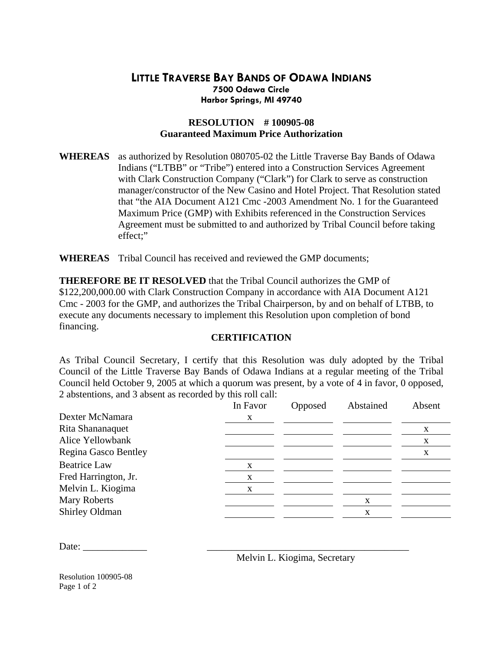## **LITTLE TRAVERSE BAY BANDS OF ODAWA INDIANS Harbor Springs, MI 49740 7500 Odawa Circle**

## **RESOLUTION # 100905-08 Guaranteed Maximum Price Authorization**

WHEREAS as authorized by Resolution 080705-02 the Little Traverse Bay Bands of Odawa that "the AIA Document A121 Cmc -2003 Amendment No. 1 for the Guaranteed Agreement must be submitted to and authorized by Tribal Council before taking effect;" Indians ("LTBB" or "Tribe") entered into a Construction Services Agreement with Clark Construction Company ("Clark") for Clark to serve as construction manager/constructor of the New Casino and Hotel Project. That Resolution stated Maximum Price (GMP) with Exhibits referenced in the Construction Services

**HEREAS** Tribal Council has received and reviewed the GMP documents; **W**

Cmc - 2003 for the GMP, and authorizes the Tribal Chairperson, by and on behalf of LTBB, to execute any documents necessary to implement this Resolution upon completion of bond **THEREFORE BE IT RESOLVED** that the Tribal Council authorizes the GMP of \$122,200,000.00 with Clark Construction Company in accordance with AIA Document A121 financing.

## **CERTIFICATION**

Council held October 9, 2005 at which a quorum was present, by a vote of 4 in favor, 0 opposed, 2 abstentions, and 3 absent as recorded by this roll call: As Tribal Council Secretary, I certify that this Resolution was duly adopted by the Tribal Council of the Little Traverse Bay Bands of Odawa Indians at a regular meeting of the Tribal

|                      | In Favor | Opposed | Abstained | Absent |
|----------------------|----------|---------|-----------|--------|
| Dexter McNamara      | X        |         |           |        |
| Rita Shananaquet     |          |         |           | X      |
| Alice Yellowbank     |          |         |           | X      |
| Regina Gasco Bentley |          |         |           | X      |
| <b>Beatrice Law</b>  | X        |         |           |        |
| Fred Harrington, Jr. | X        |         |           |        |
| Melvin L. Kiogima    | X        |         |           |        |
| <b>Mary Roberts</b>  |          |         | X         |        |
| Shirley Oldman       |          |         |           |        |
|                      |          |         |           |        |

Date: \_\_\_\_\_\_\_\_\_\_\_\_\_ \_\_\_\_\_\_\_\_\_\_\_\_\_\_\_\_\_\_\_\_\_\_\_\_\_\_\_\_\_\_\_\_\_\_\_\_\_\_\_\_\_

Melvin L. Kiogima, Secretary

Resolution 100905-08 Page 1 of 2